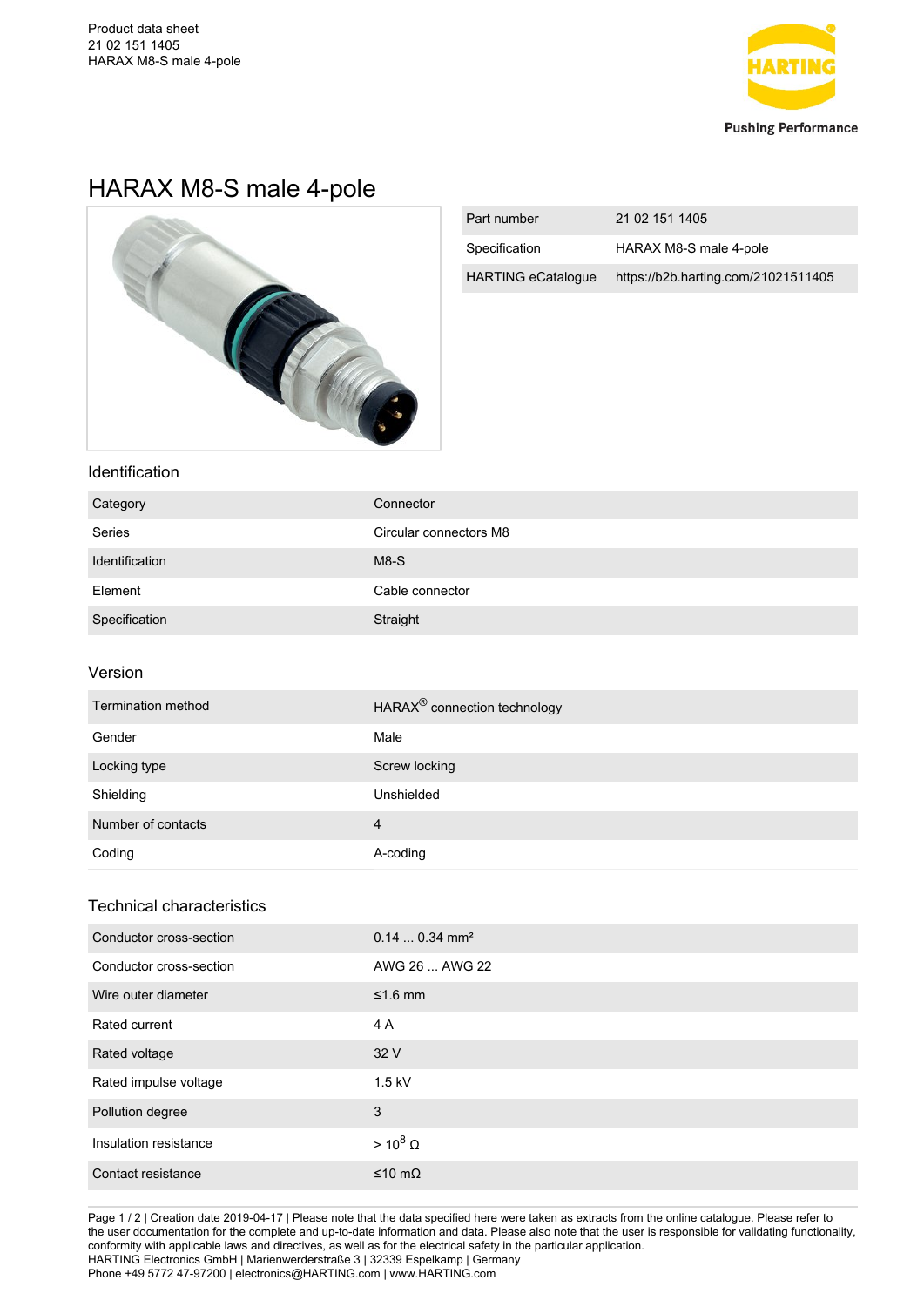

# HARAX M8-S male 4-pole



| Part number               | 21 02 151 1405                      |
|---------------------------|-------------------------------------|
| Specification             | HARAX M8-S male 4-pole              |
| <b>HARTING eCatalogue</b> | https://b2b.harting.com/21021511405 |

## Identification

| Category       | Connector              |
|----------------|------------------------|
| Series         | Circular connectors M8 |
| Identification | $M8-S$                 |
| Element        | Cable connector        |
| Specification  | Straight               |

#### Version

| Termination method | HARAX <sup>®</sup> connection technology |
|--------------------|------------------------------------------|
| Gender             | Male                                     |
| Locking type       | Screw locking                            |
| Shielding          | Unshielded                               |
| Number of contacts | 4                                        |
| Coding             | A-coding                                 |

# Technical characteristics

| Conductor cross-section | $0.140.34$ mm <sup>2</sup> |
|-------------------------|----------------------------|
| Conductor cross-section | AWG 26  AWG 22             |
| Wire outer diameter     | $≤1.6$ mm                  |
| Rated current           | 4 A                        |
| Rated voltage           | 32 V                       |
| Rated impulse voltage   | $1.5$ kV                   |
| Pollution degree        | 3                          |
| Insulation resistance   | $> 10^8 \Omega$            |
| Contact resistance      | ≤10 mΩ                     |

Page 1 / 2 | Creation date 2019-04-17 | Please note that the data specified here were taken as extracts from the online catalogue. Please refer to the user documentation for the complete and up-to-date information and data. Please also note that the user is responsible for validating functionality, conformity with applicable laws and directives, as well as for the electrical safety in the particular application. HARTING Electronics GmbH | Marienwerderstraße 3 | 32339 Espelkamp | Germany Phone +49 5772 47-97200 | electronics@HARTING.com | www.HARTING.com